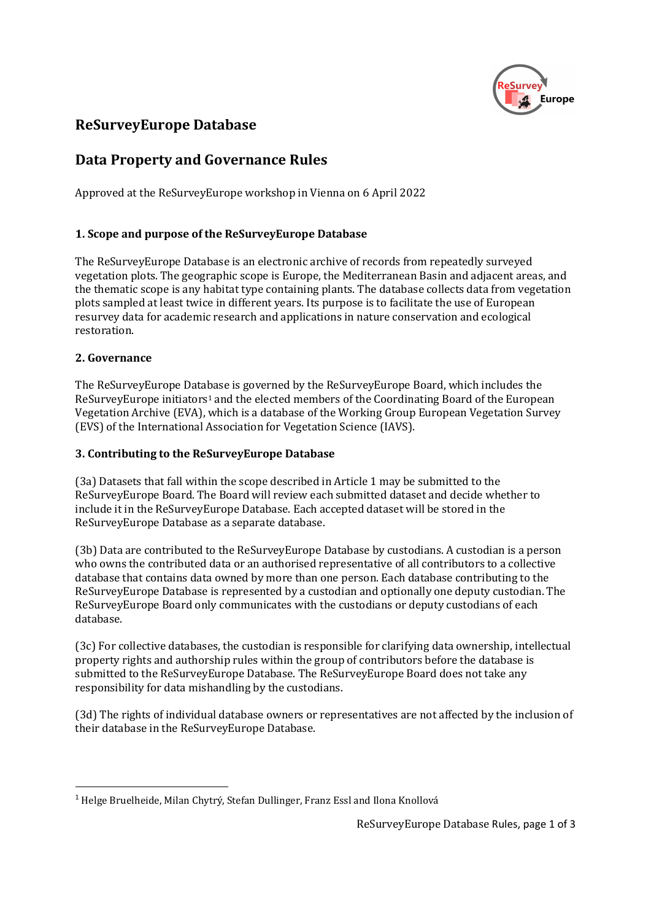

# ReSurveyEurope Database

## Data Property and Governance Rules

Approved at the ReSurveyEurope workshop in Vienna on 6 April 2022

## 1. Scope and purpose of the ReSurveyEurope Database

The ReSurveyEurope Database is an electronic archive of records from repeatedly surveyed vegetation plots. The geographic scope is Europe, the Mediterranean Basin and adjacent areas, and the thematic scope is any habitat type containing plants. The database collects data from vegetation plots sampled at least twice in different years. Its purpose is to facilitate the use of European resurvey data for academic research and applications in nature conservation and ecological restoration.

### 2. Governance

The ReSurveyEurope Database is governed by the ReSurveyEurope Board, which includes the ReSurveyEurope initiators<sup>1</sup> and the elected members of the Coordinating Board of the European Vegetation Archive (EVA), which is a database of the Working Group European Vegetation Survey (EVS) of the International Association for Vegetation Science (IAVS).

### 3. Contributing to the ReSurveyEurope Database

(3a) Datasets that fall within the scope described in Article 1 may be submitted to the ReSurveyEurope Board. The Board will review each submitted dataset and decide whether to include it in the ReSurveyEurope Database. Each accepted dataset will be stored in the ReSurveyEurope Database as a separate database.

(3b) Data are contributed to the ReSurveyEurope Database by custodians. A custodian is a person who owns the contributed data or an authorised representative of all contributors to a collective database that contains data owned by more than one person. Each database contributing to the ReSurveyEurope Database is represented by a custodian and optionally one deputy custodian. The ReSurveyEurope Board only communicates with the custodians or deputy custodians of each database.

(3c) For collective databases, the custodian is responsible for clarifying data ownership, intellectual property rights and authorship rules within the group of contributors before the database is submitted to the ReSurveyEurope Database. The ReSurveyEurope Board does not take any responsibility for data mishandling by the custodians.

(3d) The rights of individual database owners or representatives are not affected by the inclusion of their database in the ReSurveyEurope Database.

<sup>1</sup> Helge Bruelheide, Milan Chytrý, Stefan Dullinger, Franz Essl and Ilona Knollová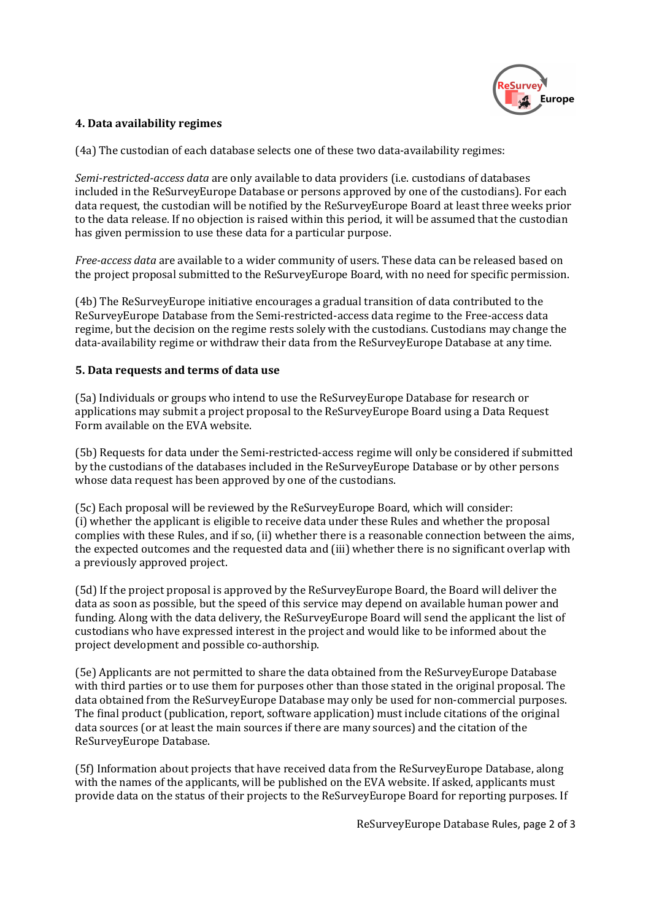

### 4. Data availability regimes

(4a) The custodian of each database selects one of these two data-availability regimes:

Semi-restricted-access data are only available to data providers (i.e. custodians of databases included in the ReSurveyEurope Database or persons approved by one of the custodians). For each data request, the custodian will be notified by the ReSurveyEurope Board at least three weeks prior to the data release. If no objection is raised within this period, it will be assumed that the custodian has given permission to use these data for a particular purpose.

Free-access data are available to a wider community of users. These data can be released based on the project proposal submitted to the ReSurveyEurope Board, with no need for specific permission.

(4b) The ReSurveyEurope initiative encourages a gradual transition of data contributed to the ReSurveyEurope Database from the Semi-restricted-access data regime to the Free-access data regime, but the decision on the regime rests solely with the custodians. Custodians may change the data-availability regime or withdraw their data from the ReSurveyEurope Database at any time.

#### 5. Data requests and terms of data use

(5a) Individuals or groups who intend to use the ReSurveyEurope Database for research or applications may submit a project proposal to the ReSurveyEurope Board using a Data Request Form available on the EVA website.

(5b) Requests for data under the Semi-restricted-access regime will only be considered if submitted by the custodians of the databases included in the ReSurveyEurope Database or by other persons whose data request has been approved by one of the custodians.

(5c) Each proposal will be reviewed by the ReSurveyEurope Board, which will consider: (i) whether the applicant is eligible to receive data under these Rules and whether the proposal complies with these Rules, and if so, (ii) whether there is a reasonable connection between the aims, the expected outcomes and the requested data and (iii) whether there is no significant overlap with a previously approved project.

(5d) If the project proposal is approved by the ReSurveyEurope Board, the Board will deliver the data as soon as possible, but the speed of this service may depend on available human power and funding. Along with the data delivery, the ReSurveyEurope Board will send the applicant the list of custodians who have expressed interest in the project and would like to be informed about the project development and possible co-authorship.

(5e) Applicants are not permitted to share the data obtained from the ReSurveyEurope Database with third parties or to use them for purposes other than those stated in the original proposal. The data obtained from the ReSurveyEurope Database may only be used for non-commercial purposes. The final product (publication, report, software application) must include citations of the original data sources (or at least the main sources if there are many sources) and the citation of the ReSurveyEurope Database.

(5f) Information about projects that have received data from the ReSurveyEurope Database, along with the names of the applicants, will be published on the EVA website. If asked, applicants must provide data on the status of their projects to the ReSurveyEurope Board for reporting purposes. If